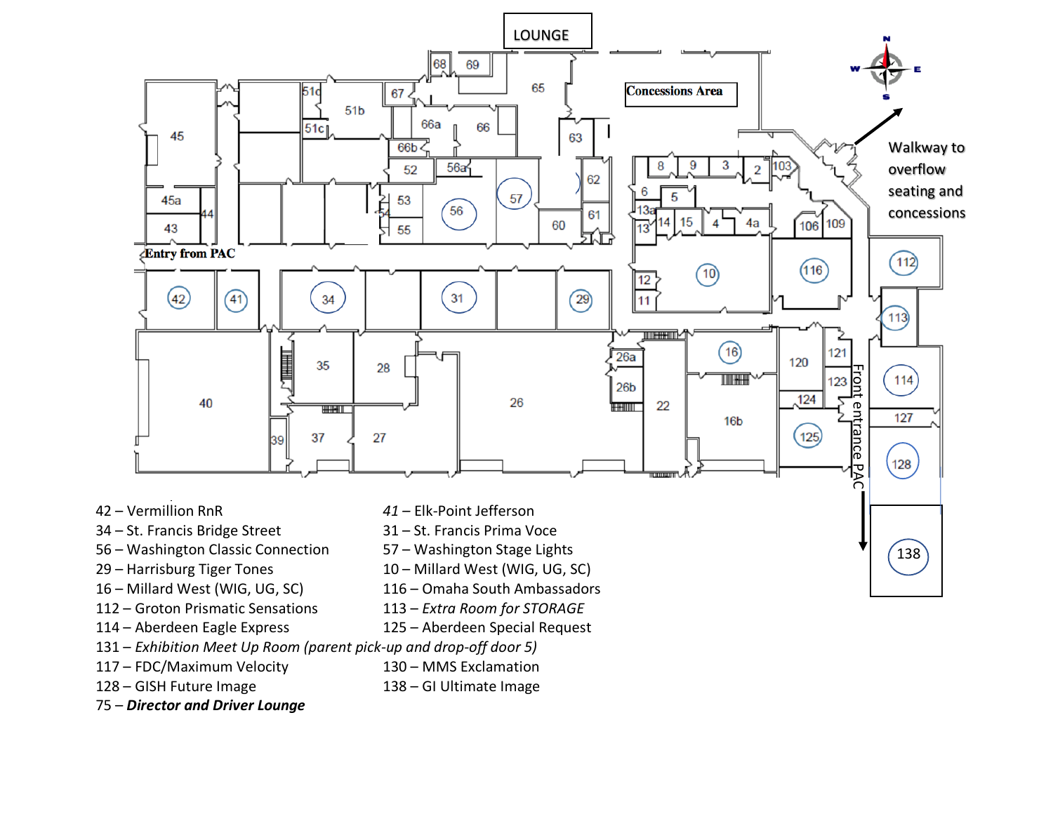

- 56 Washington Classic Connection 57 Washington Stage Lights
- 
- 
- 
- 
- 131 *Exhibition Meet Up Room (parent pick-up and drop-off door 5)*
- 
- 
- 75 *Director and Driver Lounge*
- 
- 29 Harrisburg Tiger Tones 10 Millard West (WIG, UG, SC)
- 16 Millard West (WIG, UG, SC) 116 Omaha South Ambassadors
- 112 Groton Prismatic Sensations 113 *Extra Room for STORAGE*
- 114 Aberdeen Eagle Express 125 Aberdeen Special Request
	-
- 117 FDC/Maximum Velocity 130 MMS Exclamation
- 128 GISH Future Image 138 GI Ultimate Image